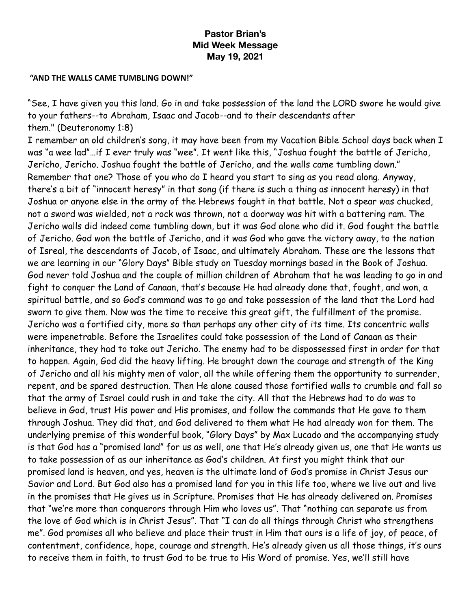## **Pastor Brian's Mid Week Message May 19, 2021**

## **"AND THE WALLS CAME TUMBLING DOWN!"**

"See, I have given you this land. Go in and take possession of the land the LORD swore he would give to your fathers--to Abraham, Isaac and Jacob--and to their descendants after them." (Deuteronomy 1:8)

I remember an old children's song, it may have been from my Vacation Bible School days back when I was "a wee lad"…if I ever truly was "wee". It went like this, "Joshua fought the battle of Jericho, Jericho, Jericho. Joshua fought the battle of Jericho, and the walls came tumbling down." Remember that one? Those of you who do I heard you start to sing as you read along. Anyway, there's a bit of "innocent heresy" in that song (if there is such a thing as innocent heresy) in that Joshua or anyone else in the army of the Hebrews fought in that battle. Not a spear was chucked, not a sword was wielded, not a rock was thrown, not a doorway was hit with a battering ram. The Jericho walls did indeed come tumbling down, but it was God alone who did it. God fought the battle of Jericho. God won the battle of Jericho, and it was God who gave the victory away, to the nation of Isreal, the descendants of Jacob, of Isaac, and ultimately Abraham. These are the lessons that we are learning in our "Glory Days" Bible study on Tuesday mornings based in the Book of Joshua. God never told Joshua and the couple of million children of Abraham that he was leading to go in and fight to conquer the Land of Canaan, that's because He had already done that, fought, and won, a spiritual battle, and so God's command was to go and take possession of the land that the Lord had sworn to give them. Now was the time to receive this great gift, the fulfillment of the promise. Jericho was a fortified city, more so than perhaps any other city of its time. Its concentric walls were impenetrable. Before the Israelites could take possession of the Land of Canaan as their inheritance, they had to take out Jericho. The enemy had to be dispossessed first in order for that to happen. Again, God did the heavy lifting. He brought down the courage and strength of the King of Jericho and all his mighty men of valor, all the while offering them the opportunity to surrender, repent, and be spared destruction. Then He alone caused those fortified walls to crumble and fall so that the army of Israel could rush in and take the city. All that the Hebrews had to do was to believe in God, trust His power and His promises, and follow the commands that He gave to them through Joshua. They did that, and God delivered to them what He had already won for them. The underlying premise of this wonderful book, "Glory Days" by Max Lucado and the accompanying study is that God has a "promised land" for us as well, one that He's already given us, one that He wants us to take possession of as our inheritance as God's children. At first you might think that our promised land is heaven, and yes, heaven is the ultimate land of God's promise in Christ Jesus our Savior and Lord. But God also has a promised land for you in this life too, where we live out and live in the promises that He gives us in Scripture. Promises that He has already delivered on. Promises that "we're more than conquerors through Him who loves us". That "nothing can separate us from the love of God which is in Christ Jesus". That "I can do all things through Christ who strengthens me". God promises all who believe and place their trust in Him that ours is a life of joy, of peace, of contentment, confidence, hope, courage and strength. He's already given us all those things, it's ours to receive them in faith, to trust God to be true to His Word of promise. Yes, we'll still have